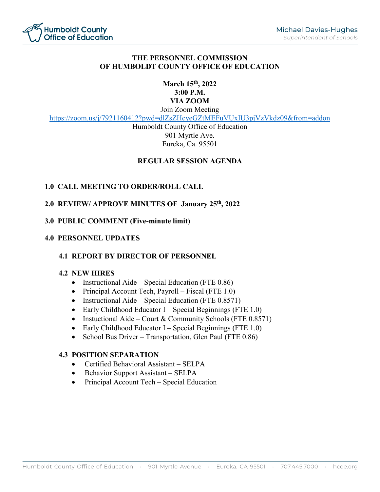

### **THE PERSONNEL COMMISSION OF HUMBOLDT COUNTY OFFICE OF EDUCATION**

#### **March 15th, 2022 3:00 P.M. VIA ZOOM** Join Zoom Meeting

<https://zoom.us/j/7921160412?pwd=dlZsZHcyeGZtMEFuVUxIU3pjVzVkdz09&from=addon>

Humboldt County Office of Education 901 Myrtle Ave. Eureka, Ca. 95501

### **REGULAR SESSION AGENDA**

### **1.0 CALL MEETING TO ORDER/ROLL CALL**

#### **2.0 REVIEW/ APPROVE MINUTES OF January 25th, 2022**

#### **3.0 PUBLIC COMMENT (Five-minute limit)**

#### **4.0 PERSONNEL UPDATES**

# **4.1 REPORT BY DIRECTOR OF PERSONNEL**

#### **4.2 NEW HIRES**

- Instructional Aide Special Education (FTE 0.86)
- Principal Account Tech, Payroll Fiscal (FTE 1.0)
- Instructional Aide Special Education (FTE 0.8571)
- Early Childhood Educator I Special Beginnings (FTE 1.0)
- Instuctional Aide Court & Community Schools (FTE  $0.8571$ )
- Early Childhood Educator I Special Beginnings (FTE 1.0)
- School Bus Driver Transportation, Glen Paul (FTE 0.86)

#### **4.3 POSITION SEPARATION**

- Certified Behavioral Assistant SELPA
- Behavior Support Assistant SELPA
- Principal Account Tech Special Education